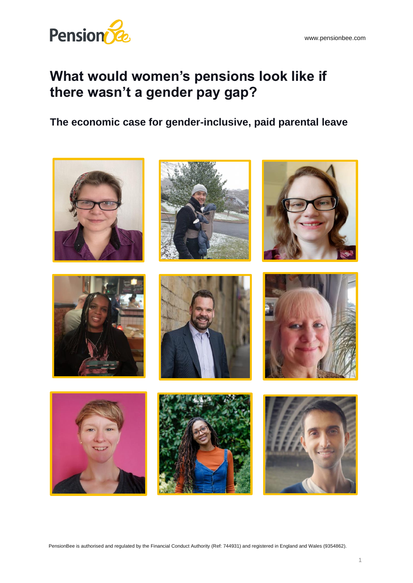

# **What would women's pensions look like if there wasn't a gender pay gap?**

**The economic case for gender-inclusive, paid parental leave**

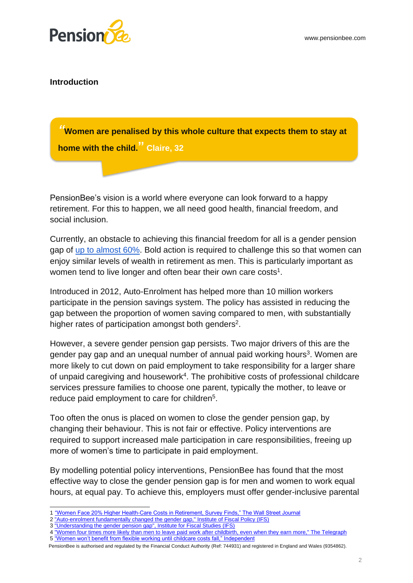

#### **Introduction**

**home with the child.<sup>?</sup>" Claire, 32** year old PensionBee customer from Cumbria. *"***Women are penalised by this whole culture that expects them to stay at** 

PensionBee's vision is a world where everyone can look forward to a happy retirement. For this to happen, we all need good health, financial freedom, and social inclusion.

Currently, an obstacle to achieving this financial freedom for all is a gender pension gap of [up to almost 60%.](https://www.express.co.uk/finance/personalfinance/1439779/pension-warning-gender-savings-gap-retirement-money-UK-2021) Bold action is required to challenge this so that women can enjoy similar levels of wealth in retirement as men. This is particularly important as women tend to live longer and often bear their own care costs<sup>1</sup>.

Introduced in 2012, Auto-Enrolment has helped more than 10 million workers participate in the pension savings system. The policy has assisted in reducing the gap between the proportion of women saving compared to men, with substantially higher rates of participation amongst both genders<sup>2</sup>.

However, a severe gender pension gap persists. Two major drivers of this are the gender pay gap and an unequal number of annual paid working hours<sup>3</sup>. Women are more likely to cut down on paid employment to take responsibility for a larger share of unpaid caregiving and housework<sup>4</sup>. The prohibitive costs of professional childcare services pressure families to choose one parent, typically the mother, to leave or reduce paid employment to care for children<sup>5</sup>.

Too often the onus is placed on women to close the gender pension gap, by changing their behaviour. This is not fair or effective. Policy interventions are required to support increased male participation in care responsibilities, freeing up more of women's time to participate in paid employment.

By modelling potential policy interventions, PensionBee has found that the most effective way to close the gender pension gap is for men and women to work equal hours, at equal pay. To achieve this, employers must offer gender-inclusive parental

<sup>1</sup> ["Women Face 20% Higher Health-Care Costs in Retirement, Survey Finds," The Wall Street Journal](https://www.wsj.com/articles/women-face-20-higher-health-care-costs-in-retirement-survey-finds-1481086801,%20The%20Wall%20Street%20Journal)

<sup>2</sup> ["Auto-enrolment fundamentally changed the gender gap," Institute of Fiscal Policy \(IFS\)](https://www.ftadviser.com/pensions/2021/05/11/auto-enrolment-fundamentally-changed-gender-gap-says-ifs/)

<sup>3</sup> ["Understanding the gender pension gap", Institute for Fiscal Studies \(IFS\)](https://www.ifs.org.uk/publications/15426)

<sup>4 &</sup>quot;Women four times more likely than men to leave [paid work after childbirth, even when they earn more," The Telegraph](https://www.telegraph.co.uk/news/2021/03/12/women-four-times-likely-men-leave-paid-work-childbirth-even/) 5 ["Women won't benefit from flexible working until childcare costs fall," Independent](https://www.independent.co.uk/money/women-won-t-benefit-from-flexible-working-until-childcare-costs-fall-b1841751.html)

PensionBee is authorised and regulated by the Financial Conduct Authority (Ref: 744931) and registered in England and Wales (9354862).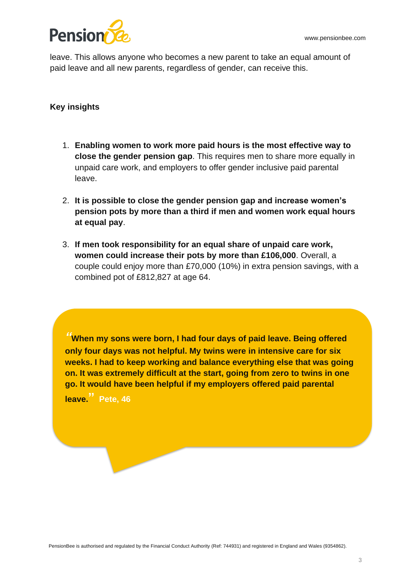

leave. This allows anyone who becomes a new parent to take an equal amount of paid leave and all new parents, regardless of gender, can receive this.

# **Key insights**

- 1. **Enabling women to work more paid hours is the most effective way to close the gender pension gap**. This requires men to share more equally in unpaid care work, and employers to offer gender inclusive paid parental leave.
- 2. **It is possible to close the gender pension gap and increase women's pension pots by more than a third if men and women work equal hours at equal pay**.
- 3. **If men took responsibility for an equal share of unpaid care work, women could increase their pots by more than £106,000**. Overall, a couple could enjoy more than £70,000 (10%) in extra pension savings, with a combined pot of £812,827 at age 64.

*"***When my sons were born, I had four days of paid leave. Being offered only four days was not helpful. My twins were in intensive care for six weeks. I had to keep working and balance everything else that was going on. It was extremely difficult at the start, going from zero to twins in one go. It would have been helpful if my employers offered paid parental leave." Pete, 46**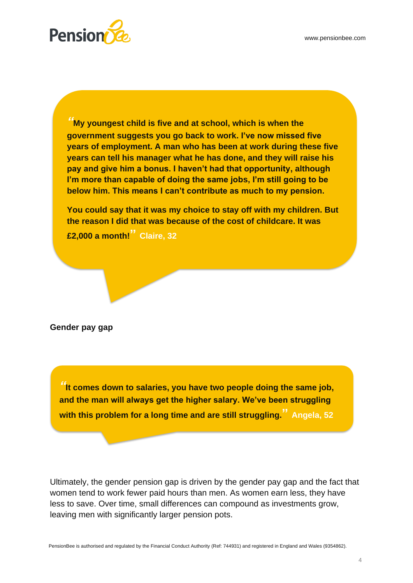

*"***My youngest child is five and at school, which is when the government suggests you go back to work. I've now missed five years of employment. A man who has been at work during these five years can tell his manager what he has done, and they will raise his pay and give him a bonus. I haven't had that opportunity, although I'm more than capable of doing the same jobs, I'm still going to be below him. This means I can't contribute as much to my pension.**

**You could say that it was my choice to stay off with my children. But the reason I did that was because of the cost of childcare. It was** 

**£2,000 a month!" Claire, 32**

**Gender pay gap** 

*"***It comes down to salaries, you have two people doing the same job, and the man will always get the higher salary. We've been struggling with this problem for a long time and are still struggling." Angela, 52**

Ultimately, the gender pension gap is driven by the gender pay gap and the fact that women tend to work fewer paid hours than men. As women earn less, they have less to save. Over time, small differences can compound as investments grow, leaving men with significantly larger pension pots.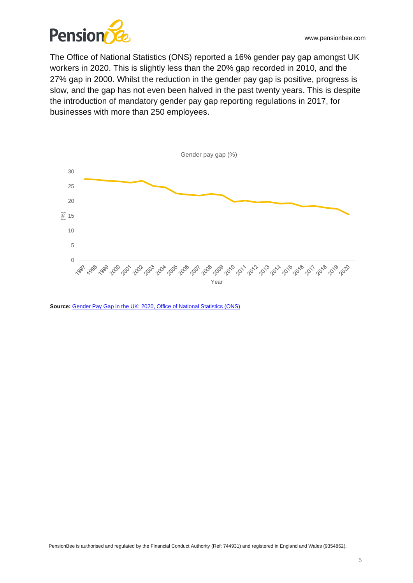

The Office of National Statistics (ONS) reported a 16% gender pay gap amongst UK workers in 2020. This is slightly less than the 20% gap recorded in 2010, and the 27% gap in 2000. Whilst the reduction in the gender pay gap is positive, progress is slow, and the gap has not even been halved in the past twenty years. This is despite the introduction of mandatory gender pay gap reporting regulations in 2017, for businesses with more than 250 employees.



Source: Gender Pay Gap in the UK: 2020, Office of National Statistics (ONS)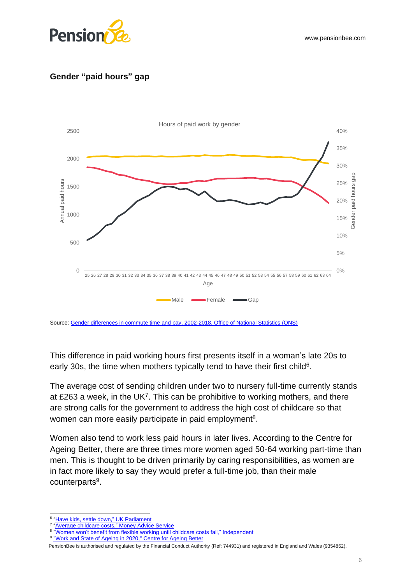

# **Gender "paid hours" gap**



Source: [Gender differences in commute time and pay, 2002-2018, Office of National Statistics \(ONS\)](https://www.ons.gov.uk/employmentandlabourmarket/peopleinwork/earningsandworkinghours/datasets/genderdifferencesincommutetimeandpay) 

This difference in paid working hours first presents itself in a woman's late 20s to early 30s, the time when mothers typically tend to have their first child<sup>6</sup>.

The average cost of sending children under two to nursery full-time currently stands at £263 a week, in the UK<sup>7</sup>. This can be prohibitive to working mothers, and there are strong calls for the government to address the high cost of childcare so that women can more easily participate in paid employment<sup>8</sup>.

Women also tend to work less paid hours in later lives. According to the Centre for Ageing Better, there are three times more women aged 50-64 working part-time than men. This is thought to be driven primarily by caring responsibilities, as women are in fact more likely to say they would prefer a full-time job, than their male counterparts<sup>9</sup>.

<sup>&</sup>lt;sup>6</sup> ["Have kids, settle down,"](https://www.parliament.uk/business/publications/research/olympic-britain/population/have-kids-settle-down/) UK Parliament

<sup>&</sup>lt;sup>7</sup> ["Average childcare costs,"](https://www.moneyadviceservice.org.uk/en/articles/childcare-costs) Money Advice Service

<sup>8</sup> ["Women won't benefit from flexible working until childcare costs fall," Independent](https://www.independent.co.uk/money/women-won-t-benefit-from-flexible-working-until-childcare-costs-fall-b1841751.html)

<sup>&</sup>lt;sup>9</sup> ["Work and State of Ageing in 2020," Centre for Ageing Better](https://www.ageing-better.org.uk/work-state-ageing-2020)

PensionBee is authorised and regulated by the Financial Conduct Authority (Ref: 744931) and registered in England and Wales (9354862).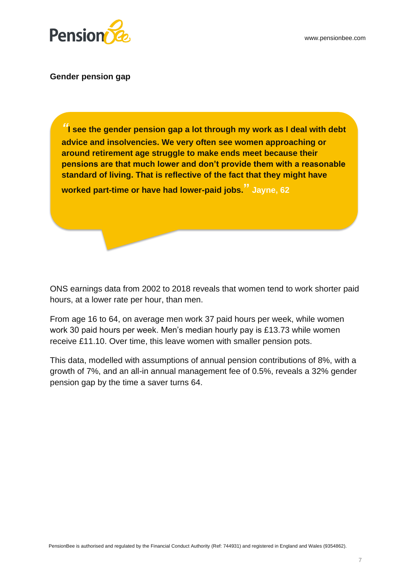

### **Gender pension gap**

*"***I see the gender pension gap a lot through my work as I deal with debt advice and insolvencies. We very often see women approaching or around retirement age struggle to make ends meet because their pensions are that much lower and don't provide them with a reasonable standard of living. That is reflective of the fact that they might have** 

**worked part-time or have had lower-paid jobs." Jayne, 62**

ONS earnings data from 2002 to 2018 reveals that women tend to work shorter paid hours, at a lower rate per hour, than men.

From age 16 to 64, on average men work 37 paid hours per week, while women work 30 paid hours per week. Men's median hourly pay is £13.73 while women receive £11.10. Over time, this leave women with smaller pension pots.

This data, modelled with assumptions of annual pension contributions of 8%, with a growth of 7%, and an all-in annual management fee of 0.5%, reveals a 32% gender pension gap by the time a saver turns 64.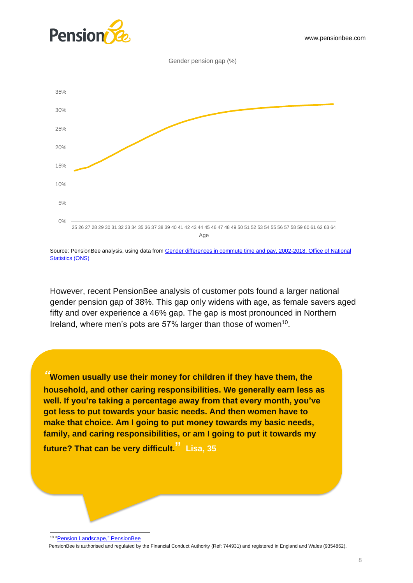





Source: PensionBee analysis, using data from Gender differences in commute time and pay, 2002-2018, Office of National **Statistics (ONS)** 

However, recent PensionBee analysis of customer pots found a larger national gender pension gap of 38%. This gap only widens with age, as female savers aged fifty and over experience a 46% gap. The gap is most pronounced in Northern Ireland, where men's pots are 57% larger than those of women<sup>10</sup>.

*"***Women usually use their money for children if they have them, the household, and other caring responsibilities. We generally earn less as well. If you're taking a percentage away from that every month, you've got less to put towards your basic needs. And then women have to make that choice. Am I going to put money towards my basic needs, family, and caring responsibilities, or am I going to put it towards my** 

**future? That can be very difficult." Lisa, 35**

PensionBee is authorised and regulated by the Financial Conduct Authority (Ref: 744931) and registered in England and Wales (9354862).

<sup>&</sup>lt;sup>10</sup> ["Pension Landscape,"](https://www.pensionbee.com/pension-landscape) PensionBee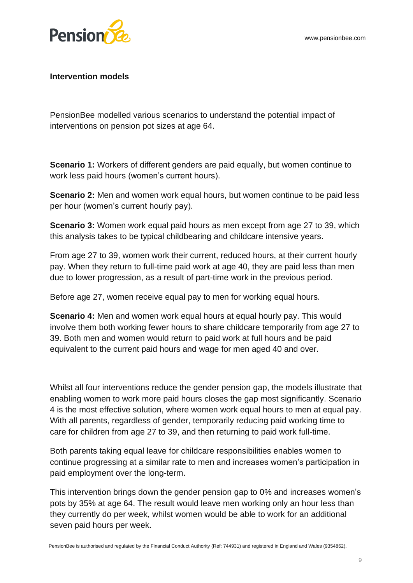

### **Intervention models**

PensionBee modelled various scenarios to understand the potential impact of interventions on pension pot sizes at age 64.

**Scenario 1:** Workers of different genders are paid equally, but women continue to work less paid hours (women's current hours).

**Scenario 2:** Men and women work equal hours, but women continue to be paid less per hour (women's current hourly pay).

**Scenario 3:** Women work equal paid hours as men except from age 27 to 39, which this analysis takes to be typical childbearing and childcare intensive years.

From age 27 to 39, women work their current, reduced hours, at their current hourly pay. When they return to full-time paid work at age 40, they are paid less than men due to lower progression, as a result of part-time work in the previous period.

Before age 27, women receive equal pay to men for working equal hours.

**Scenario 4:** Men and women work equal hours at equal hourly pay. This would involve them both working fewer hours to share childcare temporarily from age 27 to 39. Both men and women would return to paid work at full hours and be paid equivalent to the current paid hours and wage for men aged 40 and over.

Whilst all four interventions reduce the gender pension gap, the models illustrate that enabling women to work more paid hours closes the gap most significantly. Scenario 4 is the most effective solution, where women work equal hours to men at equal pay. With all parents, regardless of gender, temporarily reducing paid working time to care for children from age 27 to 39, and then returning to paid work full-time.

Both parents taking equal leave for childcare responsibilities enables women to continue progressing at a similar rate to men and increases women's participation in paid employment over the long-term.

This intervention brings down the gender pension gap to 0% and increases women's pots by 35% at age 64. The result would leave men working only an hour less than they currently do per week, whilst women would be able to work for an additional seven paid hours per week.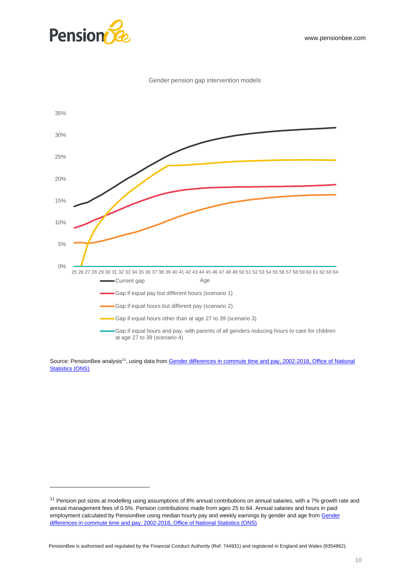

#### Gender pension gap intervention models



Source: PensionBee analysis<sup>11</sup>, using data from Gender differences in commute time and pay, 2002-2018, Office of National [Statistics \(ONS\)](https://www.ons.gov.uk/employmentandlabourmarket/peopleinwork/earningsandworkinghours/datasets/genderdifferencesincommutetimeandpay) 

PensionBee is authorised and regulated by the Financial Conduct Authority (Ref: 744931) and registered in England and Wales (9354862).

<sup>&</sup>lt;sup>11</sup> Pension pot sizes at modelling using assumptions of 8% annual contributions on annual salaries, with a 7% growth rate and annual management fees of 0.5%. Pension contributions made from ages 25 to 64. Annual salaries and hours in paid employment calculated by PensionBee using median hourly pay and weekly earnings by gender and age from Gender [differences in commute time and pay, 2002-2018, Office of National Statistics \(ONS\)](https://www.ons.gov.uk/employmentandlabourmarket/peopleinwork/earningsandworkinghours/datasets/genderdifferencesincommutetimeandpay)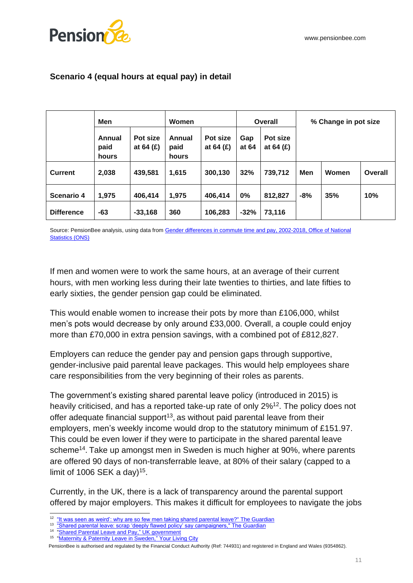

|                   | <b>Men</b>              |                         | Women                   |                         | <b>Overall</b> |                         | % Change in pot size |       |         |
|-------------------|-------------------------|-------------------------|-------------------------|-------------------------|----------------|-------------------------|----------------------|-------|---------|
|                   | Annual<br>paid<br>hours | Pot size<br>at 64 $(E)$ | Annual<br>paid<br>hours | Pot size<br>at 64 $(E)$ | Gap<br>at 64   | Pot size<br>at 64 $(E)$ |                      |       |         |
| <b>Current</b>    | 2,038                   | 439,581                 | 1,615                   | 300,130                 | 32%            | 739,712                 | Men                  | Women | Overall |
| <b>Scenario 4</b> | 1,975                   | 406,414                 | 1,975                   | 406,414                 | 0%             | 812,827                 | $-8%$                | 35%   | 10%     |
| <b>Difference</b> | -63                     | $-33,168$               | 360                     | 106,283                 | $-32%$         | 73,116                  |                      |       |         |

# **Scenario 4 (equal hours at equal pay) in detail**

Source: PensionBee analysis, using data from Gender differences in commute time and pay, 2002-2018, Office of National **Statistics (ONS)** 

If men and women were to work the same hours, at an average of their current hours, with men working less during their late twenties to thirties, and late fifties to early sixties, the gender pension gap could be eliminated.

This would enable women to increase their pots by more than £106,000, whilst men's pots would decrease by only around £33,000. Overall, a couple could enjoy more than £70,000 in extra pension savings, with a combined pot of £812,827.

Employers can reduce the gender pay and pension gaps through supportive, gender-inclusive paid parental leave packages. This would help employees share care responsibilities from the very beginning of their roles as parents.

The government's existing shared parental leave policy (introduced in 2015) is heavily criticised, and has a reported take-up rate of only 2%<sup>12</sup>. The policy does not offer adequate financial support<sup>13</sup>, as without paid parental leave from their employers, men's weekly income would drop to the statutory minimum of £151.97. This could be even lower if they were to participate in the shared parental leave scheme<sup>14</sup>. Take up amongst men in Sweden is much higher at 90%, where parents are offered 90 days of non-transferrable leave, at 80% of their salary (capped to a limit of 1006 SEK a day)<sup>15</sup>.

Currently, in the UK, there is a lack of transparency around the parental support offered by major employers. This makes it difficult for employees to navigate the jobs

<sup>&</sup>lt;sup>12</sup> ["It was seen as weird': why are so few men taking shared parental leave?" The Guardian](https://www.theguardian.com/lifeandstyle/2019/oct/05/shared-parental-leave-seen-as-weird-paternity-leave-in-decline)

<sup>&</sup>lt;sup>13</sup> ["Shared parental leave: scrap 'deeply flawed policy' say campaigners," The Guardian](https://www.theguardian.com/money/2021/apr/26/shared-parental-leave-scrap-deeply-flawed-policy-say-campaigners,%20The%20Guardian)

<sup>&</sup>lt;sup>14</sup> ["Shared Parental Leave and Pay,"](https://www.gov.uk/shared-parental-leave-and-pay) UK government

<sup>&</sup>lt;sup>15</sup> ["Maternity & Paternity Leave in Sweden,"](https://www.yourlivingcity.com/stockholm/work-money/maternity-paternity-leave-sweden/#:~:text=Sweden%20has%20one%20of%20the,of%201006%20SEK%20a%20day.) Your Living City

PensionBee is authorised and regulated by the Financial Conduct Authority (Ref: 744931) and registered in England and Wales (9354862).